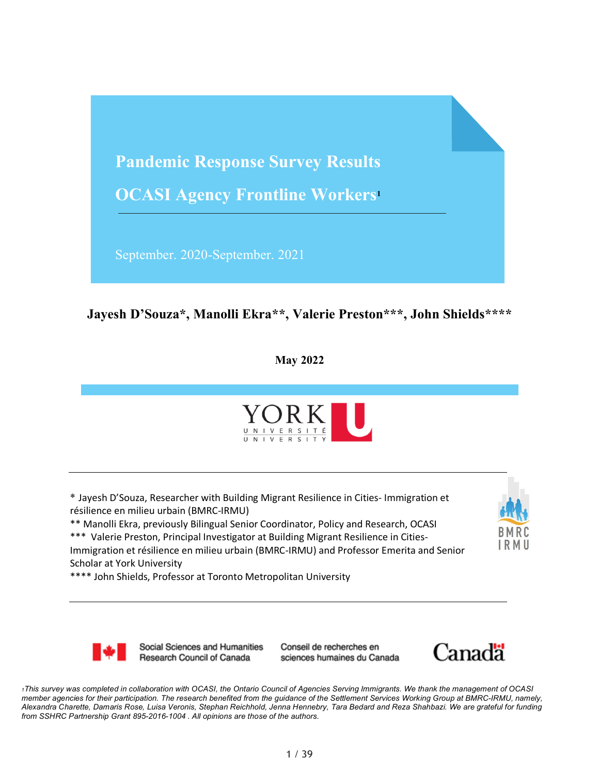

#### **Jayesh D'Souza\*, Manolli Ekra\*\*, Valerie Preston\*\*\*, John Shields\*\*\*\***

**May 2022**



\* Jayesh D'Souza, Researcher with Building Migrant Resilience in Cities- Immigration et résilience en milieu urbain (BMRC-IRMU)

\*\* Manolli Ekra, previously Bilingual Senior Coordinator, Policy and Research, OCASI

\*\*\* Valerie Preston, Principal Investigator at Building Migrant Resilience in Cities-Immigration et résilience en milieu urbain (BMRC-IRMU) and Professor Emerita and Senior Scholar at York University

\*\*\*\* John Shields, Professor at Toronto Metropolitan University



Social Sciences and Humanities Research Council of Canada

Conseil de recherches en sciences humaines du Canada



*1This survey was completed in collaboration with OCASI, the Ontario Council of Agencies Serving Immigrants. We thank the management of OCASI member agencies for their participation. The research benefited from the guidance of the Settlement Services Working Group at BMRC-IRMU, namely, Alexandra Charette, Damaris Rose, Luisa Veronis, Stephan Reichhold, Jenna Hennebry, Tara Bedard and Reza Shahbazi. We are grateful for funding from SSHRC Partnership Grant 895-2016-1004 . All opinions are those of the authors.*

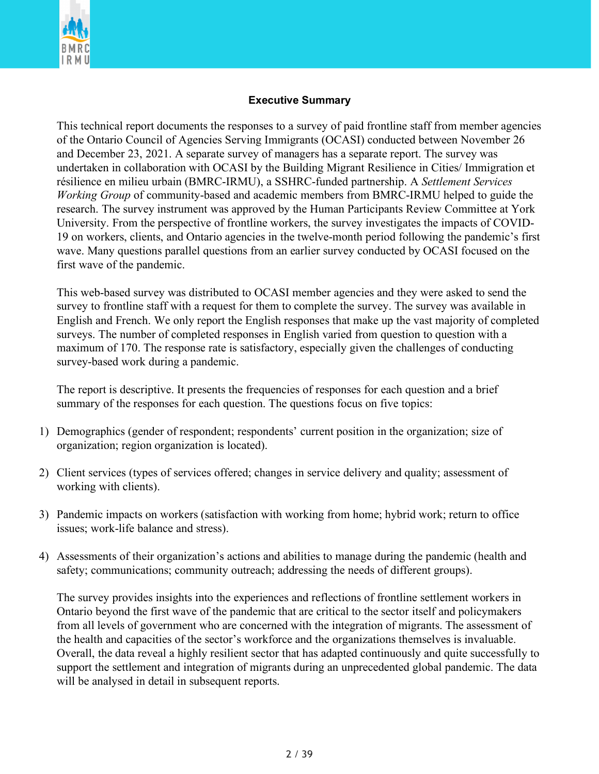

#### **Executive Summary**

This technical report documents the responses to a survey of paid frontline staff from member agencies of the Ontario Council of Agencies Serving Immigrants (OCASI) conducted between November 26 and December 23, 2021. A separate survey of managers has a separate report. The survey was undertaken in collaboration with OCASI by the Building Migrant Resilience in Cities/ Immigration et résilience en milieu urbain (BMRC-IRMU), a SSHRC-funded partnership. A *Settlement Services Working Group* of community-based and academic members from BMRC-IRMU helped to guide the research. The survey instrument was approved by the Human Participants Review Committee at York University. From the perspective of frontline workers, the survey investigates the impacts of COVID-19 on workers, clients, and Ontario agencies in the twelve-month period following the pandemic's first wave. Many questions parallel questions from an earlier survey conducted by OCASI focused on the first wave of the pandemic.

This web-based survey was distributed to OCASI member agencies and they were asked to send the survey to frontline staff with a request for them to complete the survey. The survey was available in English and French. We only report the English responses that make up the vast majority of completed surveys. The number of completed responses in English varied from question to question with a maximum of 170. The response rate is satisfactory, especially given the challenges of conducting survey-based work during a pandemic.

The report is descriptive. It presents the frequencies of responses for each question and a brief summary of the responses for each question. The questions focus on five topics:

- 1) Demographics (gender of respondent; respondents' current position in the organization; size of organization; region organization is located).
- 2) Client services (types of services offered; changes in service delivery and quality; assessment of working with clients).
- 3) Pandemic impacts on workers (satisfaction with working from home; hybrid work; return to office issues; work-life balance and stress).
- 4) Assessments of their organization's actions and abilities to manage during the pandemic (health and safety; communications; community outreach; addressing the needs of different groups).

The survey provides insights into the experiences and reflections of frontline settlement workers in Ontario beyond the first wave of the pandemic that are critical to the sector itself and policymakers from all levels of government who are concerned with the integration of migrants. The assessment of the health and capacities of the sector's workforce and the organizations themselves is invaluable. Overall, the data reveal a highly resilient sector that has adapted continuously and quite successfully to support the settlement and integration of migrants during an unprecedented global pandemic. The data will be analysed in detail in subsequent reports.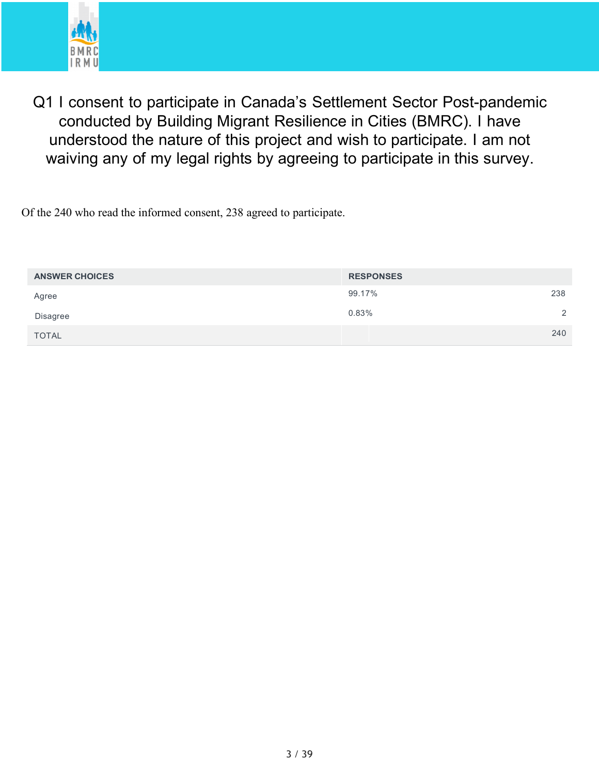

Q1 I consent to participate in Canada's Settlement Sector Post-pandemic conducted by Building Migrant Resilience in Cities (BMRC). I have understood the nature of this project and wish to participate. I am not waiving any of my legal rights by agreeing to participate in this survey.

Of the 240 who read the informed consent, 238 agreed to participate.

| <b>ANSWER CHOICES</b> | <b>RESPONSES</b> |                |
|-----------------------|------------------|----------------|
| Agree                 | 238<br>99.17%    |                |
| Disagree              | 0.83%            | $\overline{2}$ |
| <b>TOTAL</b>          | 240              |                |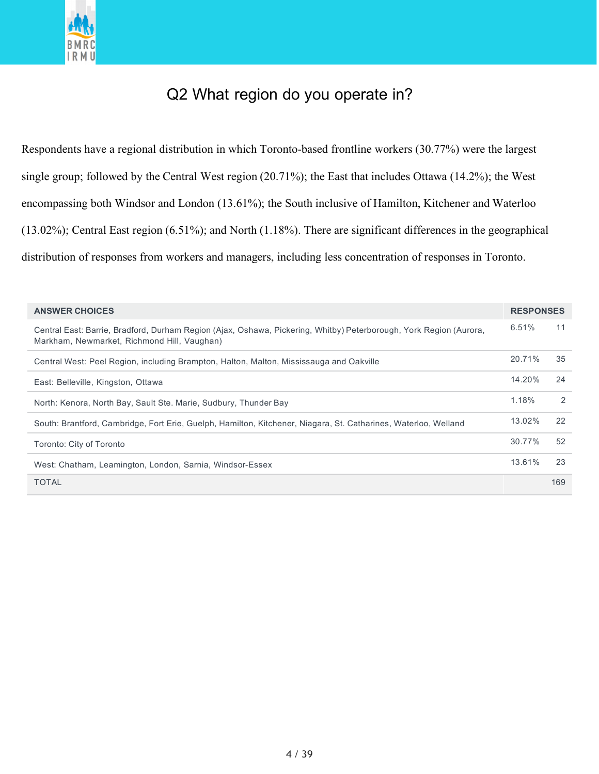

# Q2 What region do you operate in?

Respondents have a regional distribution in which Toronto-based frontline workers (30.77%) were the largest single group; followed by the Central West region (20.71%); the East that includes Ottawa (14.2%); the West encompassing both Windsor and London (13.61%); the South inclusive of Hamilton, Kitchener and Waterloo (13.02%); Central East region (6.51%); and North (1.18%). There are significant differences in the geographical distribution of responses from workers and managers, including less concentration of responses in Toronto.

| <b>ANSWER CHOICES</b>                                                                                                                                             | <b>RESPONSES</b> |     |
|-------------------------------------------------------------------------------------------------------------------------------------------------------------------|------------------|-----|
| Central East: Barrie, Bradford, Durham Region (Ajax, Oshawa, Pickering, Whitby) Peterborough, York Region (Aurora,<br>Markham, Newmarket, Richmond Hill, Vaughan) | 6.51%            | 11  |
| Central West: Peel Region, including Brampton, Halton, Malton, Mississauga and Oakville                                                                           | 20.71%           | 35  |
| East: Belleville, Kingston, Ottawa                                                                                                                                | 14.20%           | 24  |
| North: Kenora, North Bay, Sault Ste. Marie, Sudbury, Thunder Bay                                                                                                  | 1.18%            | 2   |
| South: Brantford, Cambridge, Fort Erie, Guelph, Hamilton, Kitchener, Niagara, St. Catharines, Waterloo, Welland                                                   | 13.02%           | 22  |
| Toronto: City of Toronto                                                                                                                                          | 30.77%           | 52  |
| West: Chatham, Leamington, London, Sarnia, Windsor-Essex                                                                                                          | 13.61%           | 23  |
| <b>TOTAL</b>                                                                                                                                                      |                  | 169 |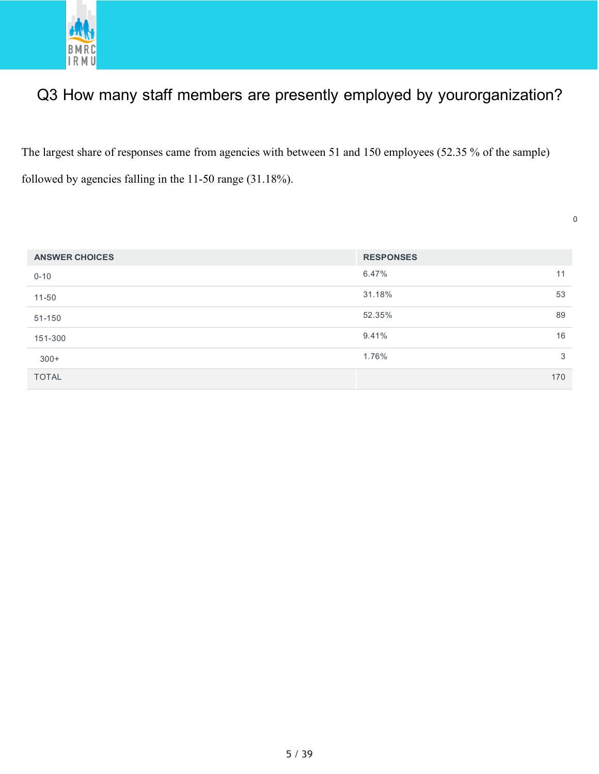

# Q3 How many staff members are presently employed by yourorganization?

The largest share of responses came from agencies with between 51 and 150 employees (52.35 % of the sample) followed by agencies falling in the 11-50 range (31.18%).

| <b>ANSWER CHOICES</b> | <b>RESPONSES</b> |     |
|-----------------------|------------------|-----|
| $0 - 10$              | 6.47%            | 11  |
| $11 - 50$             | 31.18%           | 53  |
| 51-150                | 52.35%           | 89  |
| 151-300               | 9.41%            | 16  |
| $300+$                | 1.76%            | 3   |
| <b>TOTAL</b>          |                  | 170 |

0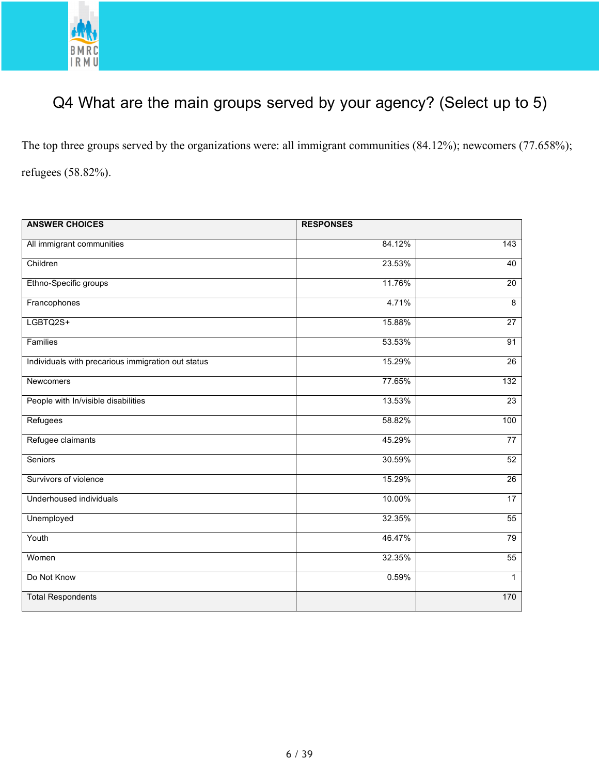

# Q4 What are the main groups served by your agency? (Select up to 5)

The top three groups served by the organizations were: all immigrant communities (84.12%); newcomers (77.658%); refugees (58.82%).

| <b>ANSWER CHOICES</b>                              | <b>RESPONSES</b> |                 |
|----------------------------------------------------|------------------|-----------------|
| All immigrant communities                          | 84.12%           | 143             |
| Children                                           | 23.53%           | 40              |
| Ethno-Specific groups                              | 11.76%           | 20              |
| Francophones                                       | 4.71%            | 8               |
| LGBTQ2S+                                           | 15.88%           | $\overline{27}$ |
| Families                                           | 53.53%           | 91              |
| Individuals with precarious immigration out status | 15.29%           | 26              |
| <b>Newcomers</b>                                   | 77.65%           | 132             |
| People with In/visible disabilities                | 13.53%           | 23              |
| Refugees                                           | 58.82%           | 100             |
| Refugee claimants                                  | 45.29%           | 77              |
| Seniors                                            | 30.59%           | 52              |
| Survivors of violence                              | 15.29%           | $\overline{26}$ |
| Underhoused individuals                            | 10.00%           | 17              |
| Unemployed                                         | 32.35%           | 55              |
| Youth                                              | 46.47%           | 79              |
| Women                                              | 32.35%           | 55              |
| Do Not Know                                        | 0.59%            | $\mathbf{1}$    |
| <b>Total Respondents</b>                           |                  | 170             |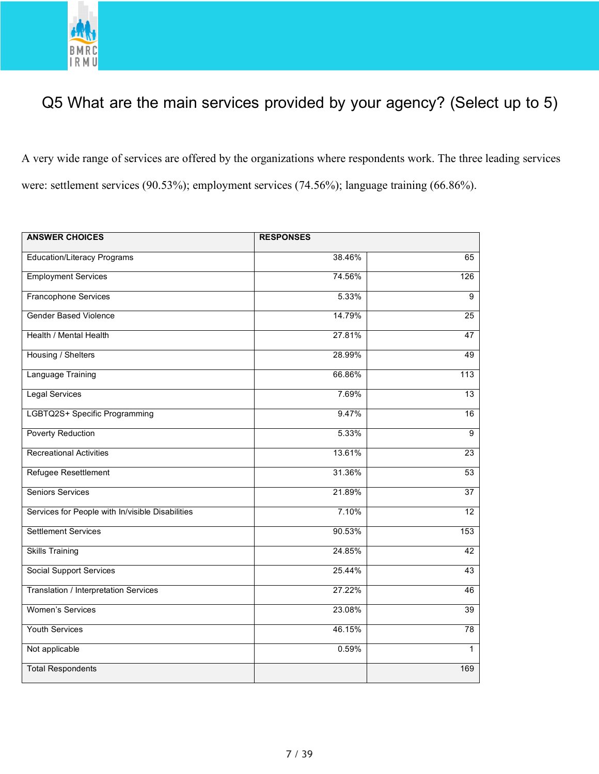

# Q5 What are the main services provided by your agency? (Select up to 5)

A very wide range of services are offered by the organizations where respondents work. The three leading services were: settlement services (90.53%); employment services (74.56%); language training (66.86%).

| <b>ANSWER CHOICES</b>                            | <b>RESPONSES</b> |                 |
|--------------------------------------------------|------------------|-----------------|
| <b>Education/Literacy Programs</b>               | 38.46%           | 65              |
| <b>Employment Services</b>                       | 74.56%           | 126             |
| Francophone Services                             | 5.33%            | $\overline{9}$  |
| <b>Gender Based Violence</b>                     | 14.79%           | 25              |
| Health / Mental Health                           | 27.81%           | 47              |
| Housing / Shelters                               | 28.99%           | 49              |
| <b>Language Training</b>                         | 66.86%           | 113             |
| <b>Legal Services</b>                            | 7.69%            | 13              |
| LGBTQ2S+ Specific Programming                    | 9.47%            | 16              |
| <b>Poverty Reduction</b>                         | 5.33%            | $\overline{9}$  |
| <b>Recreational Activities</b>                   | 13.61%           | 23              |
| Refugee Resettlement                             | 31.36%           | 53              |
| <b>Seniors Services</b>                          | 21.89%           | $\overline{37}$ |
| Services for People with In/visible Disabilities | 7.10%            | 12              |
| <b>Settlement Services</b>                       | 90.53%           | 153             |
| <b>Skills Training</b>                           | 24.85%           | 42              |
| <b>Social Support Services</b>                   | 25.44%           | 43              |
| Translation / Interpretation Services            | 27.22%           | 46              |
| <b>Women's Services</b>                          | 23.08%           | 39              |
| <b>Youth Services</b>                            | 46.15%           | $\overline{78}$ |
| Not applicable                                   | 0.59%            | $\mathbf{1}$    |
| <b>Total Respondents</b>                         |                  | 169             |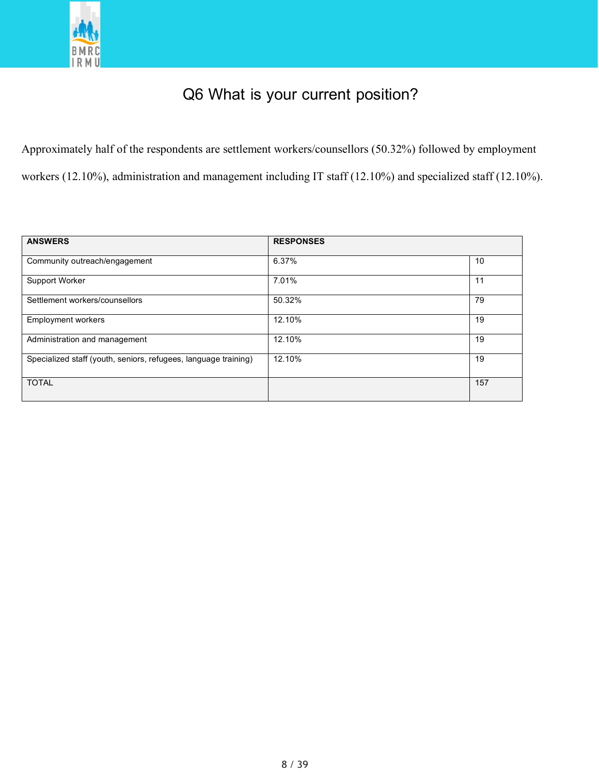

# Q6 What is your current position?

Approximately half of the respondents are settlement workers/counsellors (50.32%) followed by employment workers (12.10%), administration and management including IT staff (12.10%) and specialized staff (12.10%).

| <b>ANSWERS</b>                                                  | <b>RESPONSES</b> |     |
|-----------------------------------------------------------------|------------------|-----|
| Community outreach/engagement                                   | 6.37%            | 10  |
| Support Worker                                                  | 7.01%            | 11  |
| Settlement workers/counsellors                                  | 50.32%           | 79  |
| <b>Employment workers</b>                                       | 12.10%           | 19  |
| Administration and management                                   | 12.10%           | 19  |
| Specialized staff (youth, seniors, refugees, language training) | 12.10%           | 19  |
| <b>TOTAL</b>                                                    |                  | 157 |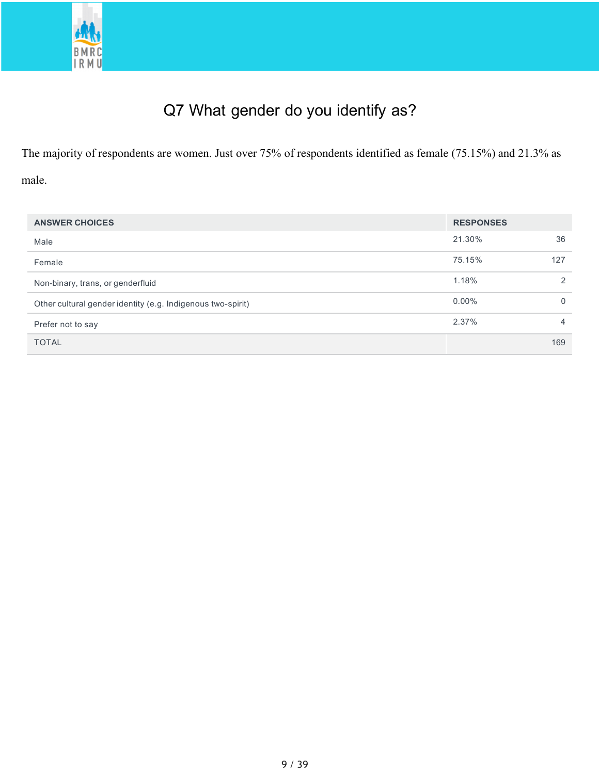

# Q7 What gender do you identify as?

The majority of respondents are women. Just over 75% of respondents identified as female (75.15%) and 21.3% as male.

| <b>ANSWER CHOICES</b>                                       | <b>RESPONSES</b> |          |
|-------------------------------------------------------------|------------------|----------|
| Male                                                        | 21.30%           | 36       |
| Female                                                      | 75.15%           | 127      |
| Non-binary, trans, or genderfluid                           | 1.18%            | 2        |
| Other cultural gender identity (e.g. Indigenous two-spirit) | $0.00\%$         | $\Omega$ |
| Prefer not to say                                           | 2.37%            | 4        |
| <b>TOTAL</b>                                                |                  | 169      |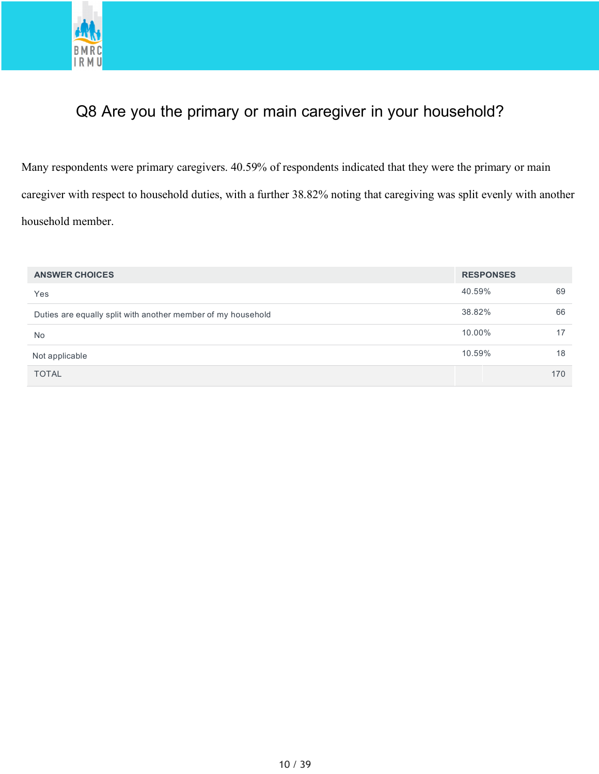

# Q8 Are you the primary or main caregiver in your household?

Many respondents were primary caregivers. 40.59% of respondents indicated that they were the primary or main caregiver with respect to household duties, with a further 38.82% noting that caregiving was split evenly with another household member.

| <b>ANSWER CHOICES</b>                                        | <b>RESPONSES</b> |     |
|--------------------------------------------------------------|------------------|-----|
| Yes                                                          | 40.59%           | 69  |
| Duties are equally split with another member of my household | 38.82%           | 66  |
| <b>No</b>                                                    | 10.00%           | 17  |
| Not applicable                                               | 10.59%           | 18  |
| <b>TOTAL</b>                                                 |                  | 170 |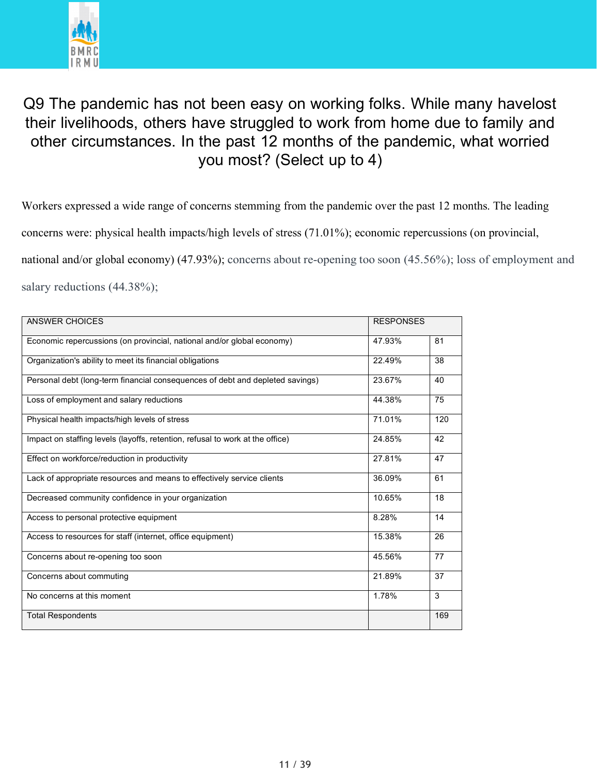

# Q9 The pandemic has not been easy on working folks. While many havelost their livelihoods, others have struggled to work from home due to family and other circumstances. In the past 12 months of the pandemic, what worried you most? (Select up to 4)

Workers expressed a wide range of concerns stemming from the pandemic over the past 12 months. The leading concerns were: physical health impacts/high levels of stress (71.01%); economic repercussions (on provincial, national and/or global economy) (47.93%); concerns about re-opening too soon (45.56%); loss of employment and salary reductions (44.38%);

| ANSWER CHOICES                                                                | <b>RESPONSES</b> |     |
|-------------------------------------------------------------------------------|------------------|-----|
| Economic repercussions (on provincial, national and/or global economy)        | 47.93%           | 81  |
| Organization's ability to meet its financial obligations                      | 22.49%           | 38  |
| Personal debt (long-term financial consequences of debt and depleted savings) | 23.67%           | 40  |
| Loss of employment and salary reductions                                      | 44.38%           | 75  |
| Physical health impacts/high levels of stress                                 | 71.01%           | 120 |
| Impact on staffing levels (layoffs, retention, refusal to work at the office) | 24.85%           | 42  |
| Effect on workforce/reduction in productivity                                 | 27.81%           | 47  |
| Lack of appropriate resources and means to effectively service clients        | 36.09%           | 61  |
| Decreased community confidence in your organization                           | 10.65%           | 18  |
| Access to personal protective equipment                                       | 8.28%            | 14  |
| Access to resources for staff (internet, office equipment)                    | 15.38%           | 26  |
| Concerns about re-opening too soon                                            | 45.56%           | 77  |
| Concerns about commuting                                                      | 21.89%           | 37  |
| No concerns at this moment                                                    | 1.78%            | 3   |
| <b>Total Respondents</b>                                                      |                  | 169 |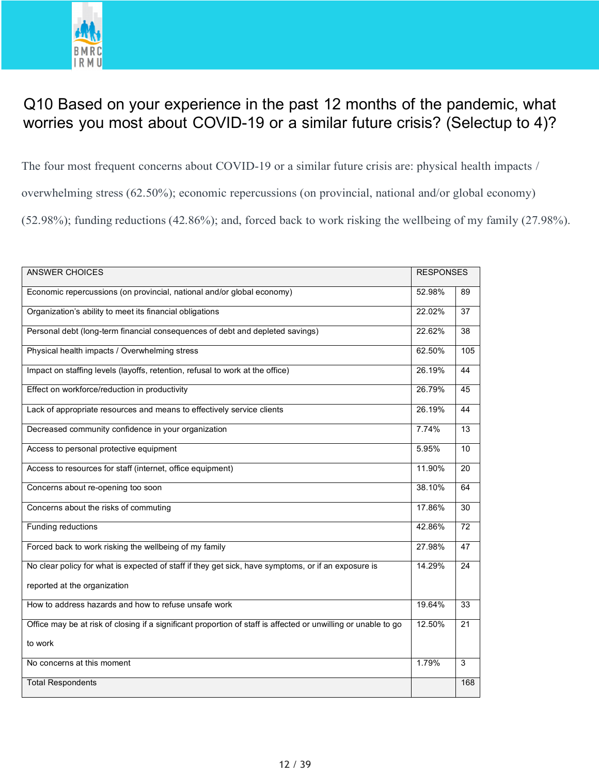

### Q10 Based on your experience in the past 12 months of the pandemic, what worries you most about COVID-19 or a similar future crisis? (Selectup to 4)?

The four most frequent concerns about COVID-19 or a similar future crisis are: physical health impacts / overwhelming stress (62.50%); economic repercussions (on provincial, national and/or global economy) (52.98%); funding reductions (42.86%); and, forced back to work risking the wellbeing of my family (27.98%).

| <b>ANSWER CHOICES</b>                                                                                          | <b>RESPONSES</b> |                 |
|----------------------------------------------------------------------------------------------------------------|------------------|-----------------|
| Economic repercussions (on provincial, national and/or global economy)                                         | 52.98%           | 89              |
| Organization's ability to meet its financial obligations                                                       | 22.02%           | 37              |
| Personal debt (long-term financial consequences of debt and depleted savings)                                  | 22.62%           | $\overline{38}$ |
| Physical health impacts / Overwhelming stress                                                                  | 62.50%           | 105             |
| Impact on staffing levels (layoffs, retention, refusal to work at the office)                                  | 26.19%           | 44              |
| Effect on workforce/reduction in productivity                                                                  | 26.79%           | 45              |
| Lack of appropriate resources and means to effectively service clients                                         | 26.19%           | 44              |
| Decreased community confidence in your organization                                                            | 7.74%            | 13              |
| Access to personal protective equipment                                                                        | 5.95%            | 10              |
| Access to resources for staff (internet, office equipment)                                                     | 11.90%           | 20              |
| Concerns about re-opening too soon                                                                             | 38.10%           | 64              |
| Concerns about the risks of commuting                                                                          | 17.86%           | 30              |
| Funding reductions                                                                                             | 42.86%           | 72              |
| Forced back to work risking the wellbeing of my family                                                         | 27.98%           | 47              |
| No clear policy for what is expected of staff if they get sick, have symptoms, or if an exposure is            | 14.29%           | 24              |
| reported at the organization                                                                                   |                  |                 |
| How to address hazards and how to refuse unsafe work                                                           | 19.64%           | 33              |
| Office may be at risk of closing if a significant proportion of staff is affected or unwilling or unable to go | 12.50%           | 21              |
| to work                                                                                                        |                  |                 |
| No concerns at this moment                                                                                     | 1.79%            | 3               |
| <b>Total Respondents</b>                                                                                       |                  | 168             |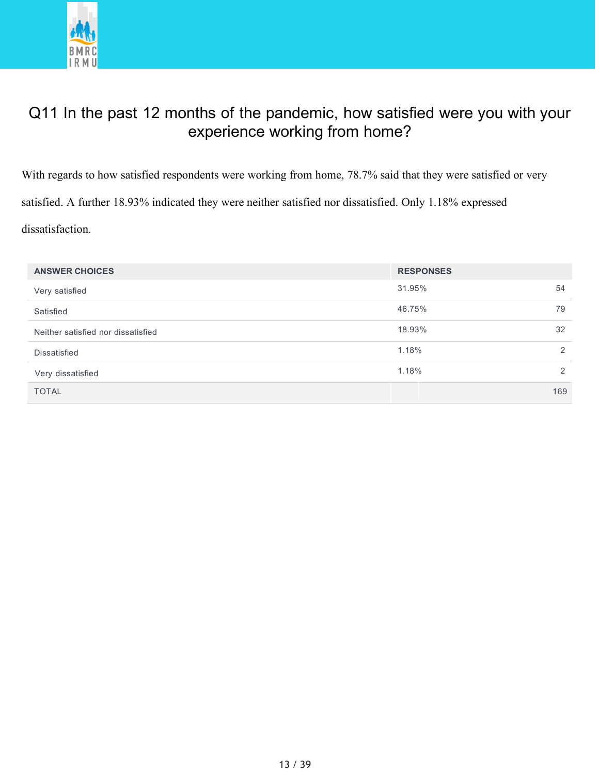

# Q11 In the past 12 months of the pandemic, how satisfied were you with your experience working from home?

With regards to how satisfied respondents were working from home, 78.7% said that they were satisfied or very satisfied. A further 18.93% indicated they were neither satisfied nor dissatisfied. Only 1.18% expressed dissatisfaction.

| <b>ANSWER CHOICES</b>              | <b>RESPONSES</b> |     |
|------------------------------------|------------------|-----|
| Very satisfied                     | 31.95%           | 54  |
| Satisfied                          | 46.75%           | 79  |
| Neither satisfied nor dissatisfied | 18.93%           | 32  |
| Dissatisfied                       | 1.18%            | 2   |
| Very dissatisfied                  | 1.18%            | 2   |
| <b>TOTAL</b>                       |                  | 169 |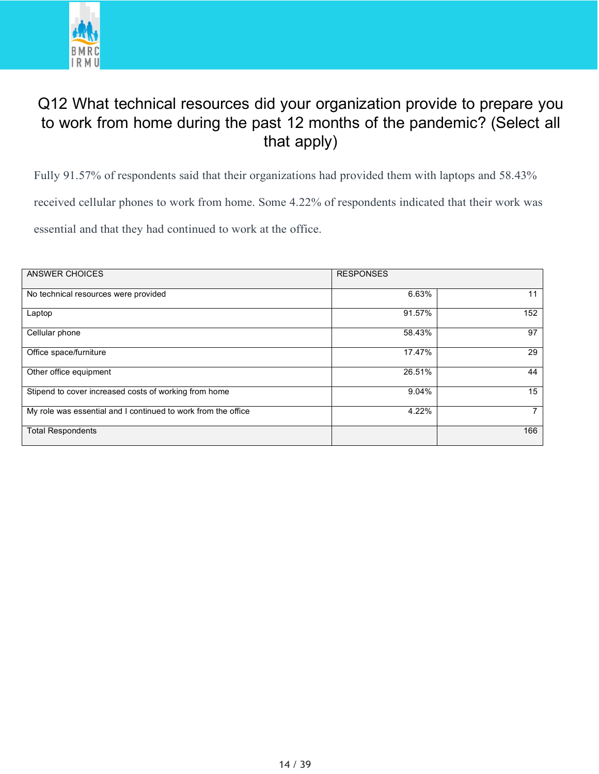

# Q12 What technical resources did your organization provide to prepare you to work from home during the past 12 months of the pandemic? (Select all that apply)

Fully 91.57% of respondents said that their organizations had provided them with laptops and 58.43% received cellular phones to work from home. Some 4.22% of respondents indicated that their work was essential and that they had continued to work at the office.

| <b>ANSWER CHOICES</b>                                         | <b>RESPONSES</b> |     |
|---------------------------------------------------------------|------------------|-----|
| No technical resources were provided                          | 6.63%            | 11  |
| Laptop                                                        | 91.57%           | 152 |
| Cellular phone                                                | 58.43%           | 97  |
| Office space/furniture                                        | 17.47%           | 29  |
| Other office equipment                                        | 26.51%           | 44  |
| Stipend to cover increased costs of working from home         | 9.04%            | 15  |
| My role was essential and I continued to work from the office | 4.22%            |     |
| <b>Total Respondents</b>                                      |                  | 166 |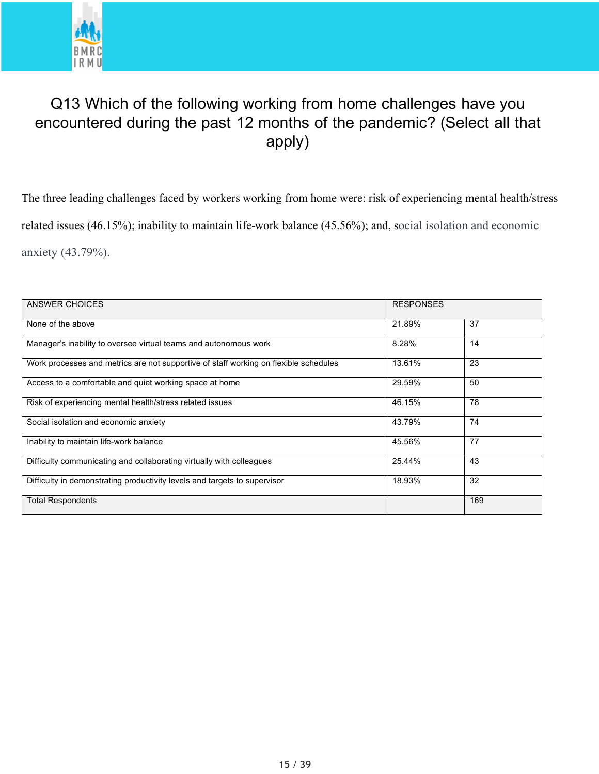

# Q13 Which of the following working from home challenges have you encountered during the past 12 months of the pandemic? (Select all that apply)

The three leading challenges faced by workers working from home were: risk of experiencing mental health/stress related issues (46.15%); inability to maintain life-work balance (45.56%); and, social isolation and economic anxiety (43.79%).

| ANSWER CHOICES                                                                       | <b>RESPONSES</b> |     |
|--------------------------------------------------------------------------------------|------------------|-----|
| None of the above                                                                    | 21.89%           | 37  |
| Manager's inability to oversee virtual teams and autonomous work                     | 8.28%            | 14  |
| Work processes and metrics are not supportive of staff working on flexible schedules | 13.61%           | 23  |
| Access to a comfortable and quiet working space at home                              | 29.59%           | 50  |
| Risk of experiencing mental health/stress related issues                             | 46.15%           | 78  |
| Social isolation and economic anxiety                                                | 43.79%           | 74  |
| Inability to maintain life-work balance                                              | 45.56%           | 77  |
| Difficulty communicating and collaborating virtually with colleagues                 | 25.44%           | 43  |
| Difficulty in demonstrating productivity levels and targets to supervisor            | 18.93%           | 32  |
| <b>Total Respondents</b>                                                             |                  | 169 |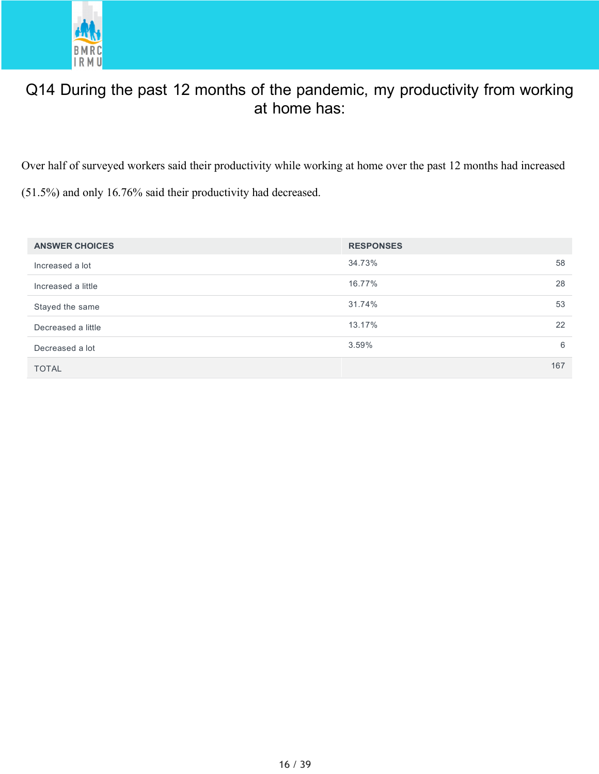

# Q14 During the past 12 months of the pandemic, my productivity from working at home has:

Over half of surveyed workers said their productivity while working at home over the past 12 months had increased

(51.5%) and only 16.76% said their productivity had decreased.

| <b>ANSWER CHOICES</b> | <b>RESPONSES</b> |     |
|-----------------------|------------------|-----|
| Increased a lot       | 34.73%           | 58  |
| Increased a little    | 16.77%           | 28  |
| Stayed the same       | 31.74%           | 53  |
| Decreased a little    | 13.17%           | 22  |
| Decreased a lot       | 3.59%            | 6   |
| <b>TOTAL</b>          |                  | 167 |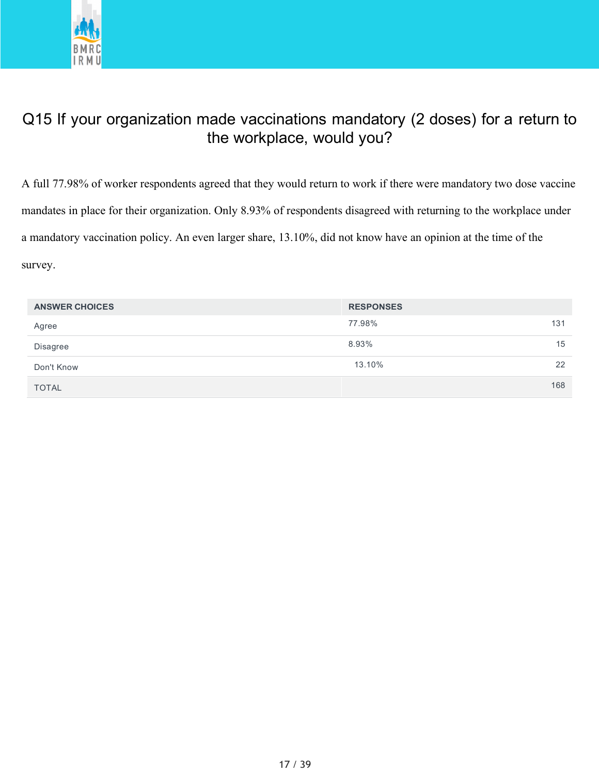

### Q15 If your organization made vaccinations mandatory (2 doses) for a return to the workplace, would you?

A full 77.98% of worker respondents agreed that they would return to work if there were mandatory two dose vaccine mandates in place for their organization. Only 8.93% of respondents disagreed with returning to the workplace under a mandatory vaccination policy. An even larger share, 13.10%, did not know have an opinion at the time of the survey.

| <b>ANSWER CHOICES</b> | <b>RESPONSES</b> |     |
|-----------------------|------------------|-----|
| Agree                 | 77.98%<br>131    |     |
| Disagree              | 8.93%            | 15  |
| Don't Know            | 13.10%           | 22  |
| <b>TOTAL</b>          |                  | 168 |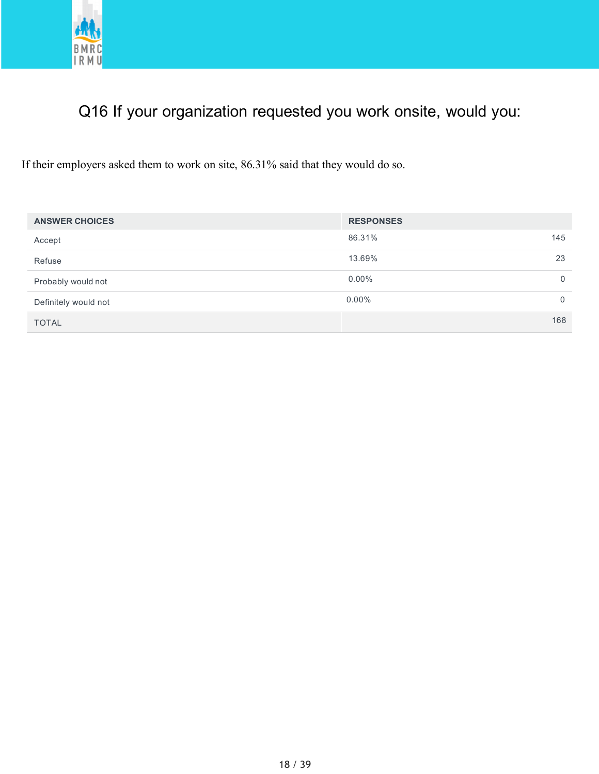

# Q16 If your organization requested you work onsite, would you:

If their employers asked them to work on site, 86.31% said that they would do so.

| <b>ANSWER CHOICES</b> | <b>RESPONSES</b> |             |
|-----------------------|------------------|-------------|
| Accept                | 86.31%           | 145         |
| Refuse                | 13.69%           | 23          |
| Probably would not    | $0.00\%$         | $\Omega$    |
| Definitely would not  | $0.00\%$         | $\mathbf 0$ |
| <b>TOTAL</b>          |                  | 168         |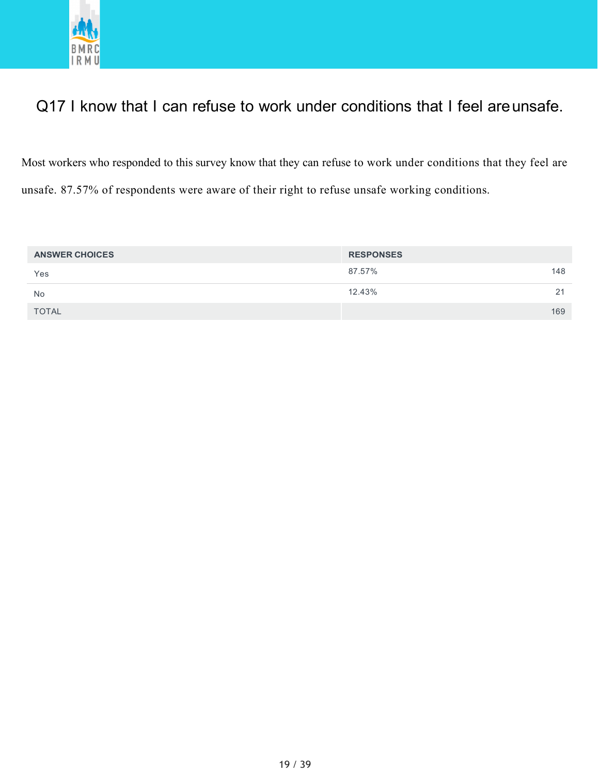

# Q17 I know that I can refuse to work under conditions that I feel are unsafe.

Most workers who responded to this survey know that they can refuse to work under conditions that they feel are unsafe. 87.57% of respondents were aware of their right to refuse unsafe working conditions.

| <b>ANSWER CHOICES</b> | <b>RESPONSES</b> |     |
|-----------------------|------------------|-----|
| Yes                   | 87.57%           | 148 |
| No                    | 12.43%           | 21  |
| <b>TOTAL</b>          |                  | 169 |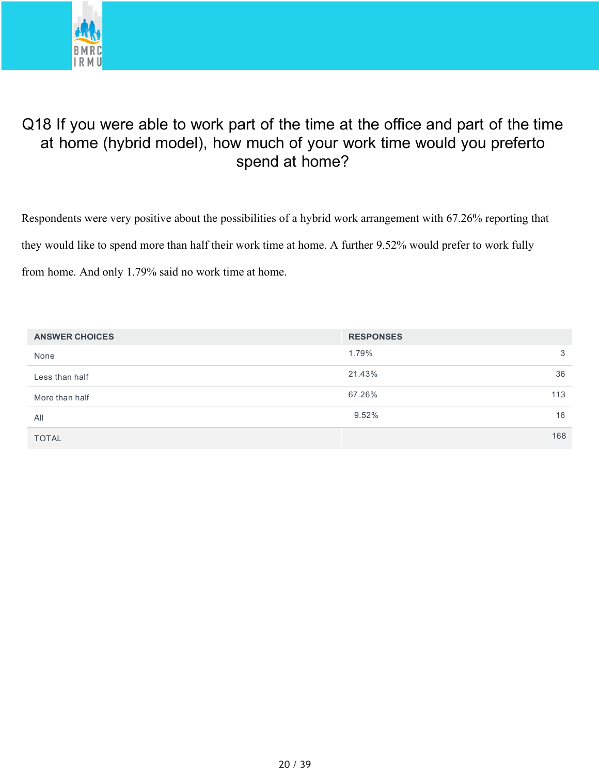

# Q18 If you were able to work part of the time at the office and part of the time at home (hybrid model), how much of your work time would you preferto spend at home?

Respondents were very positive about the possibilities of a hybrid work arrangement with 67.26% reporting that they would like to spend more than half their work time at home. A further 9.52% would prefer to work fully from home. And only 1.79% said no work time at home.

| <b>ANSWER CHOICES</b> | <b>RESPONSES</b> |  |
|-----------------------|------------------|--|
| None                  | 1.79%<br>3       |  |
| Less than half        | 21.43%<br>36     |  |
| More than half        | 67.26%<br>113    |  |
| All                   | 9.52%<br>16      |  |
| <b>TOTAL</b>          | 168              |  |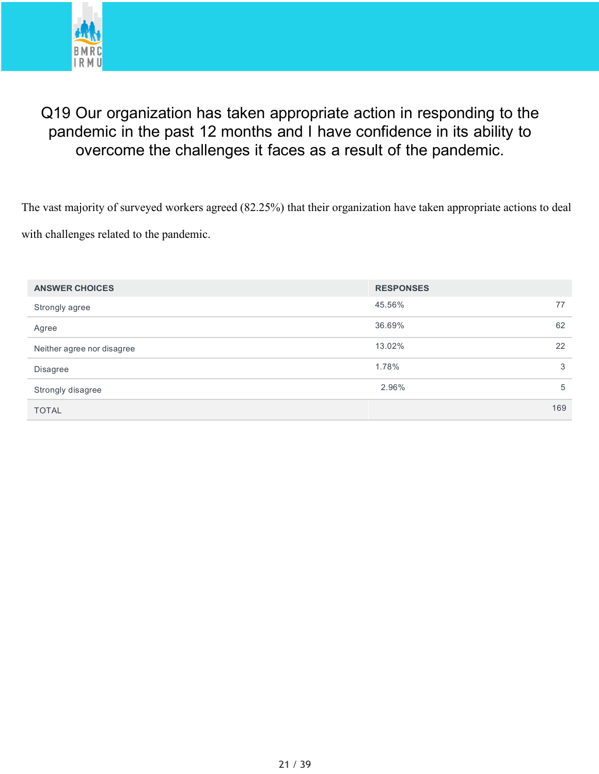

# Q19 Our organization has taken appropriate action in responding to the pandemic in the past 12 months and I have confidence in its ability to overcome the challenges it faces as a result of the pandemic.

The vast majority of surveyed workers agreed (82.25%) that their organization have taken appropriate actions to deal with challenges related to the pandemic.

| <b>ANSWER CHOICES</b>      | <b>RESPONSES</b> |     |
|----------------------------|------------------|-----|
| Strongly agree             | 45.56%           | 77  |
| Agree                      | 36.69%           | 62  |
| Neither agree nor disagree | 13.02%           | 22  |
| <b>Disagree</b>            | 1.78%            | 3   |
| Strongly disagree          | 2.96%            | 5   |
| <b>TOTAL</b>               |                  | 169 |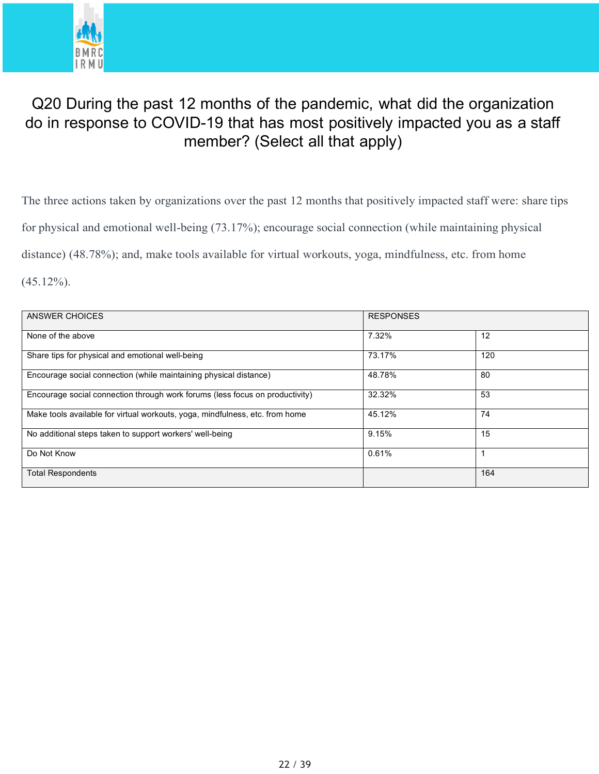

# Q20 During the past 12 months of the pandemic, what did the organization do in response to COVID-19 that has most positively impacted you as a staff member? (Select all that apply)

The three actions taken by organizations over the past 12 months that positively impacted staff were: share tips for physical and emotional well-being (73.17%); encourage social connection (while maintaining physical distance) (48.78%); and, make tools available for virtual workouts, yoga, mindfulness, etc. from home  $(45.12\%)$ .

| ANSWER CHOICES                                                               | <b>RESPONSES</b> |     |
|------------------------------------------------------------------------------|------------------|-----|
| None of the above                                                            | 7.32%            | 12  |
| Share tips for physical and emotional well-being                             | 73.17%           | 120 |
| Encourage social connection (while maintaining physical distance)            | 48.78%           | 80  |
| Encourage social connection through work forums (less focus on productivity) | 32.32%           | 53  |
| Make tools available for virtual workouts, yoga, mindfulness, etc. from home | 45.12%           | 74  |
| No additional steps taken to support workers' well-being                     | 9.15%            | 15  |
| Do Not Know                                                                  | 0.61%            |     |
| <b>Total Respondents</b>                                                     |                  | 164 |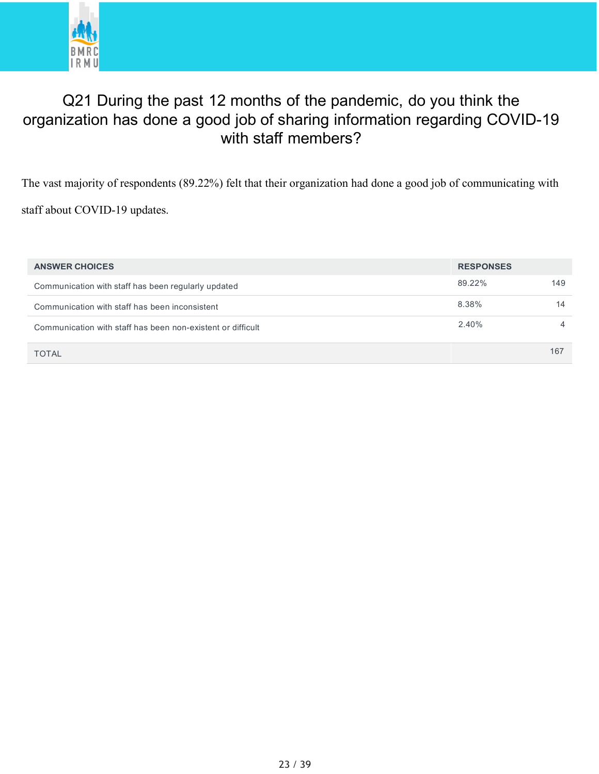

# Q21 During the past 12 months of the pandemic, do you think the organization has done a good job of sharing information regarding COVID-19 with staff members?

The vast majority of respondents (89.22%) felt that their organization had done a good job of communicating with

staff about COVID-19 updates.

| <b>ANSWER CHOICES</b>                                       | <b>RESPONSES</b> |                |
|-------------------------------------------------------------|------------------|----------------|
| Communication with staff has been regularly updated         | 89.22%           | 149            |
| Communication with staff has been inconsistent              | 8.38%            | 14             |
| Communication with staff has been non-existent or difficult | 2.40%            | $\overline{4}$ |
| <b>TOTAL</b>                                                |                  | 167            |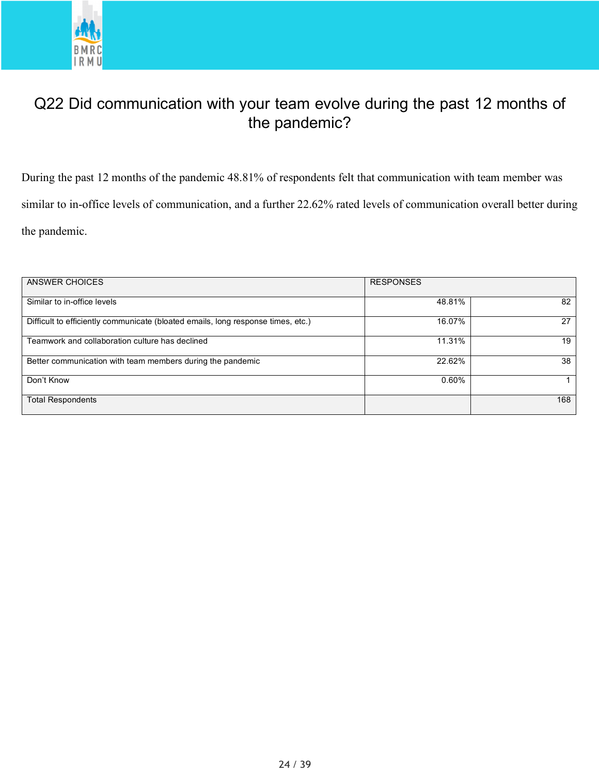

# Q22 Did communication with your team evolve during the past 12 months of the pandemic?

During the past 12 months of the pandemic 48.81% of respondents felt that communication with team member was similar to in-office levels of communication, and a further 22.62% rated levels of communication overall better during the pandemic.

| ANSWER CHOICES                                                                   | <b>RESPONSES</b> |     |
|----------------------------------------------------------------------------------|------------------|-----|
| Similar to in-office levels                                                      | 48.81%           | 82  |
| Difficult to efficiently communicate (bloated emails, long response times, etc.) | 16.07%           | 27  |
| Teamwork and collaboration culture has declined                                  | 11.31%           | 19  |
| Better communication with team members during the pandemic                       | 22.62%           | 38  |
| Don't Know                                                                       | 0.60%            |     |
| <b>Total Respondents</b>                                                         |                  | 168 |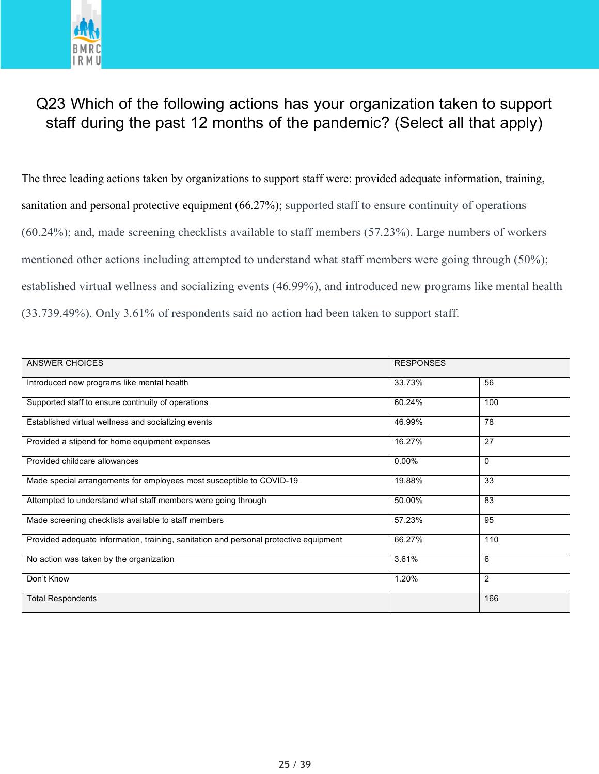

# Q23 Which of the following actions has your organization taken to support staff during the past 12 months of the pandemic? (Select all that apply)

The three leading actions taken by organizations to support staff were: provided adequate information, training, sanitation and personal protective equipment (66.27%); supported staff to ensure continuity of operations (60.24%); and, made screening checklists available to staff members (57.23%). Large numbers of workers mentioned other actions including attempted to understand what staff members were going through (50%); established virtual wellness and socializing events (46.99%), and introduced new programs like mental health (33.739.49%). Only 3.61% of respondents said no action had been taken to support staff.

| <b>ANSWER CHOICES</b>                                                                 | <b>RESPONSES</b> |                |
|---------------------------------------------------------------------------------------|------------------|----------------|
| Introduced new programs like mental health                                            | 33.73%           | 56             |
| Supported staff to ensure continuity of operations                                    | 60.24%           | 100            |
| Established virtual wellness and socializing events                                   | 46.99%           | 78             |
| Provided a stipend for home equipment expenses                                        | 16.27%           | 27             |
| Provided childcare allowances                                                         | $0.00\%$         | $\mathbf 0$    |
| Made special arrangements for employees most susceptible to COVID-19                  | 19.88%           | 33             |
| Attempted to understand what staff members were going through                         | 50.00%           | 83             |
| Made screening checklists available to staff members                                  | 57.23%           | 95             |
| Provided adequate information, training, sanitation and personal protective equipment | 66.27%           | 110            |
| No action was taken by the organization                                               | 3.61%            | 6              |
| Don't Know                                                                            | 1.20%            | $\overline{2}$ |
| <b>Total Respondents</b>                                                              |                  | 166            |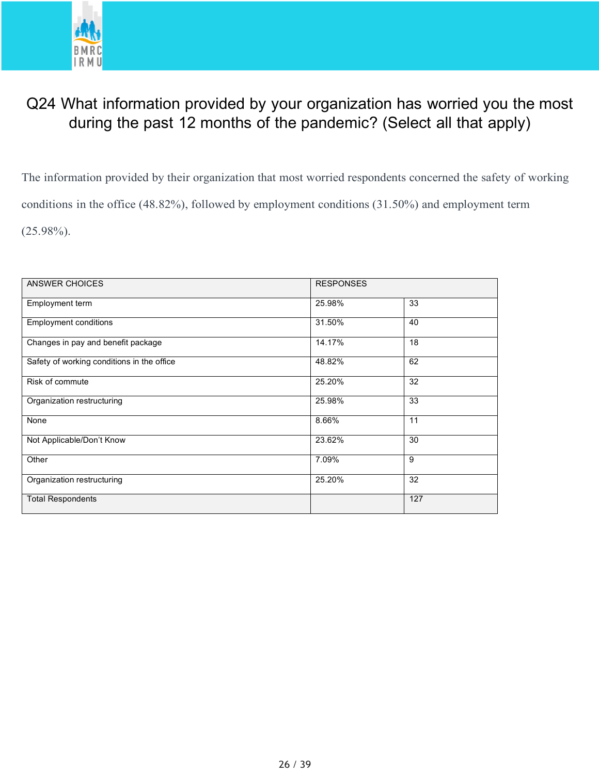

# Q24 What information provided by your organization has worried you the most during the past 12 months of the pandemic? (Select all that apply)

The information provided by their organization that most worried respondents concerned the safety of working conditions in the office (48.82%), followed by employment conditions (31.50%) and employment term  $(25.98\%)$ .

| ANSWER CHOICES                             | <b>RESPONSES</b> |     |  |
|--------------------------------------------|------------------|-----|--|
| Employment term                            | 25.98%           | 33  |  |
| <b>Employment conditions</b>               | 31.50%           | 40  |  |
| Changes in pay and benefit package         | 14.17%           | 18  |  |
| Safety of working conditions in the office | 48.82%           | 62  |  |
| Risk of commute                            | 25.20%           | 32  |  |
| Organization restructuring                 | 25.98%           | 33  |  |
| None                                       | 8.66%            | 11  |  |
| Not Applicable/Don't Know                  | 23.62%           | 30  |  |
| Other                                      | 7.09%            | 9   |  |
| Organization restructuring                 | 25.20%           | 32  |  |
| <b>Total Respondents</b>                   |                  | 127 |  |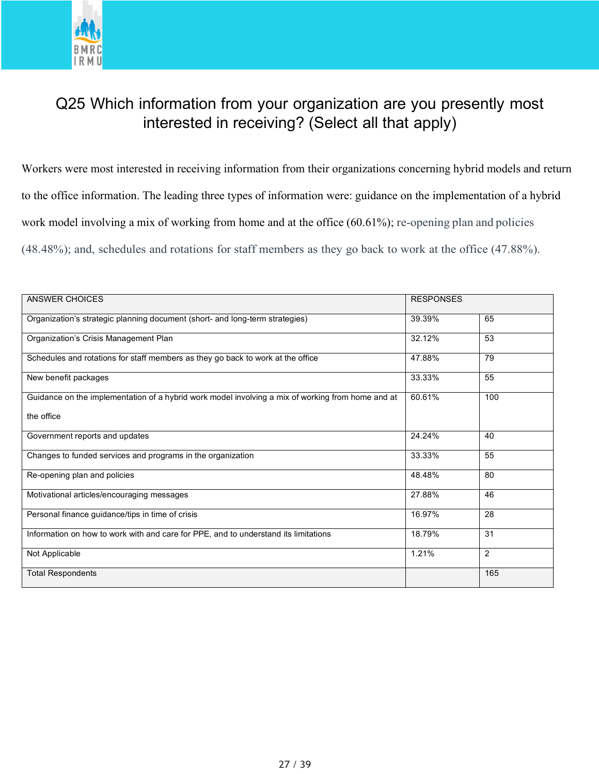

# Q25 Which information from your organization are you presently most interested in receiving? (Select all that apply)

Workers were most interested in receiving information from their organizations concerning hybrid models and return to the office information. The leading three types of information were: guidance on the implementation of a hybrid work model involving a mix of working from home and at the office (60.61%); re-opening plan and policies (48.48%); and, schedules and rotations for staff members as they go back to work at the office (47.88%).

| <b>ANSWER CHOICES</b>                                                                             |        | <b>RESPONSES</b> |  |
|---------------------------------------------------------------------------------------------------|--------|------------------|--|
| Organization's strategic planning document (short- and long-term strategies)                      | 39.39% | 65               |  |
| Organization's Crisis Management Plan                                                             | 32.12% | 53               |  |
| Schedules and rotations for staff members as they go back to work at the office                   | 47.88% | 79               |  |
| New benefit packages                                                                              | 33.33% | 55               |  |
| Guidance on the implementation of a hybrid work model involving a mix of working from home and at | 60.61% | 100              |  |
| the office                                                                                        |        |                  |  |
| Government reports and updates                                                                    | 24.24% | 40               |  |
| Changes to funded services and programs in the organization                                       | 33.33% | 55               |  |
| Re-opening plan and policies                                                                      | 48.48% | 80               |  |
| Motivational articles/encouraging messages                                                        | 27.88% | 46               |  |
| Personal finance guidance/tips in time of crisis                                                  | 16.97% | 28               |  |
| Information on how to work with and care for PPE, and to understand its limitations               | 18.79% | 31               |  |
| Not Applicable                                                                                    | 1.21%  | 2                |  |
| <b>Total Respondents</b>                                                                          |        | 165              |  |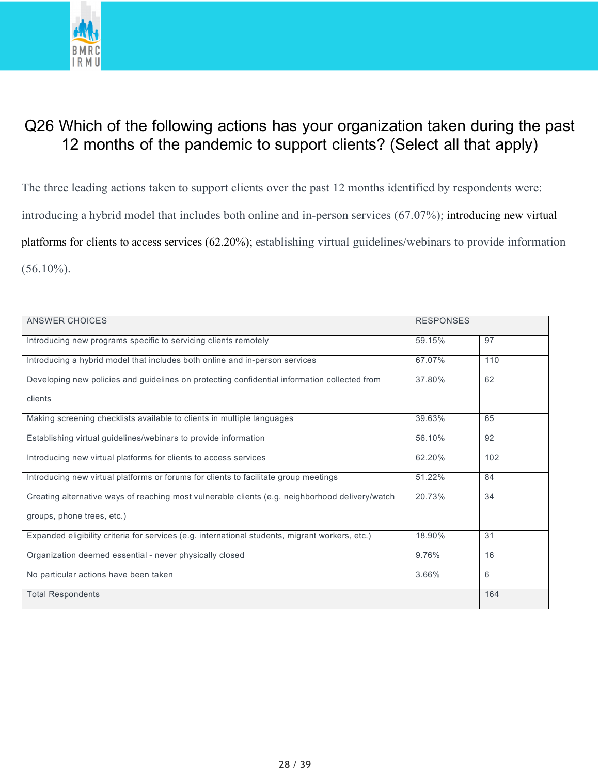

# Q26 Which of the following actions has your organization taken during the past 12 months of the pandemic to support clients? (Select all that apply)

The three leading actions taken to support clients over the past 12 months identified by respondents were: introducing a hybrid model that includes both online and in-person services (67.07%); introducing new virtual platforms for clients to access services (62.20%); establishing virtual guidelines/webinars to provide information  $(56.10\%)$ .

| ANSWER CHOICES                                                                                  | <b>RESPONSES</b> |     |
|-------------------------------------------------------------------------------------------------|------------------|-----|
| Introducing new programs specific to servicing clients remotely                                 | 59.15%           | 97  |
| Introducing a hybrid model that includes both online and in-person services                     | 67.07%           | 110 |
| Developing new policies and guidelines on protecting confidential information collected from    | 37.80%           | 62  |
| clients                                                                                         |                  |     |
| Making screening checklists available to clients in multiple languages                          | 39.63%           | 65  |
| Establishing virtual guidelines/webinars to provide information                                 | 56.10%           | 92  |
| Introducing new virtual platforms for clients to access services                                | 62.20%           | 102 |
| Introducing new virtual platforms or forums for clients to facilitate group meetings            | 51.22%           | 84  |
| Creating alternative ways of reaching most vulnerable clients (e.g. neighborhood delivery/watch | 20.73%           | 34  |
| groups, phone trees, etc.)                                                                      |                  |     |
| Expanded eligibility criteria for services (e.g. international students, migrant workers, etc.) | 18.90%           | 31  |
| Organization deemed essential - never physically closed                                         | 9.76%            | 16  |
| No particular actions have been taken                                                           | 3.66%            | 6   |
| <b>Total Respondents</b>                                                                        |                  | 164 |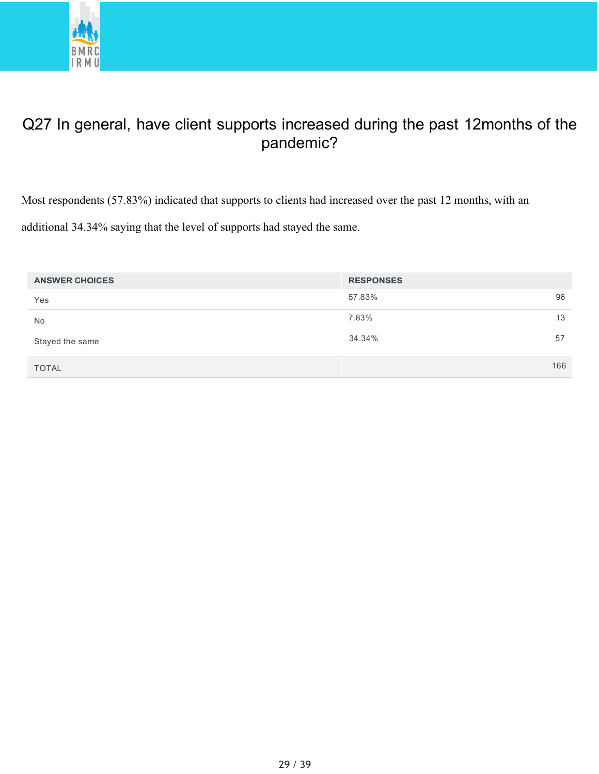

# Q27 In general, have client supports increased during the past 12months of the pandemic?

Most respondents (57.83%) indicated that supports to clients had increased over the past 12 months, with an additional 34.34% saying that the level of supports had stayed the same.

| <b>ANSWER CHOICES</b> | <b>RESPONSES</b> |     |
|-----------------------|------------------|-----|
| Yes                   | 57.83%           | 96  |
| <b>No</b>             | 7.83%            | 13  |
| Stayed the same       | 34.34%           | 57  |
| <b>TOTAL</b>          |                  | 166 |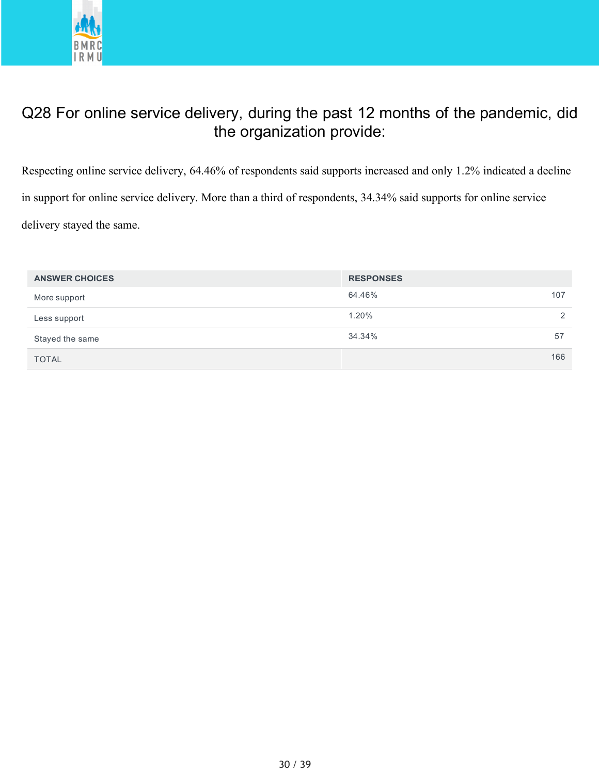

# Q28 For online service delivery, during the past 12 months of the pandemic, did the organization provide:

Respecting online service delivery, 64.46% of respondents said supports increased and only 1.2% indicated a decline in support for online service delivery. More than a third of respondents, 34.34% said supports for online service delivery stayed the same.

| <b>ANSWER CHOICES</b> | <b>RESPONSES</b> |               |
|-----------------------|------------------|---------------|
| More support          | 64.46%           | 107           |
| Less support          | 1.20%            | $\mathcal{D}$ |
| Stayed the same       | 34.34%           | 57            |
| <b>TOTAL</b>          |                  | 166           |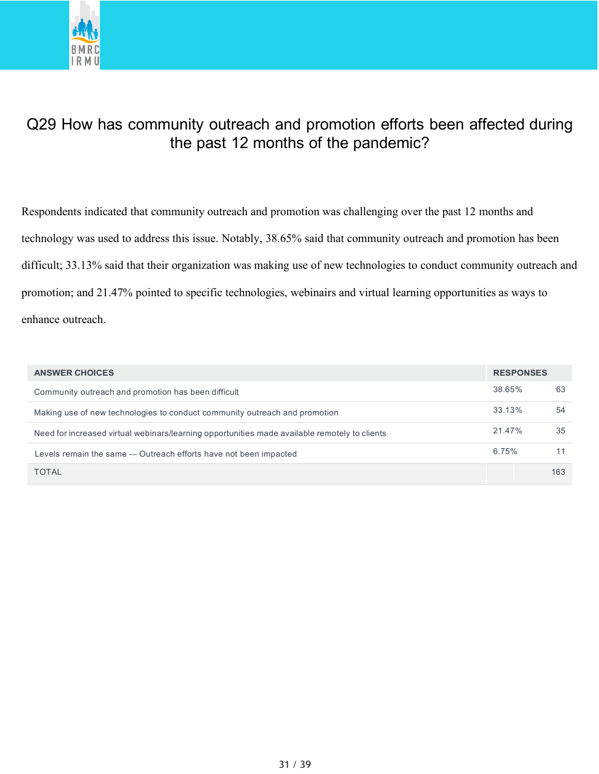

# Q29 How has community outreach and promotion efforts been affected during the past 12 months of the pandemic?

Respondents indicated that community outreach and promotion was challenging over the past 12 months and technology was used to address this issue. Notably, 38.65% said that community outreach and promotion has been difficult; 33.13% said that their organization was making use of new technologies to conduct community outreach and promotion; and 21.47% pointed to specific technologies, webinairs and virtual learning opportunities as ways to enhance outreach.

| <b>ANSWER CHOICES</b>                                                                         |        | <b>RESPONSES</b> |  |
|-----------------------------------------------------------------------------------------------|--------|------------------|--|
| Community outreach and promotion has been difficult                                           | 38.65% | 63               |  |
| Making use of new technologies to conduct community outreach and promotion                    | 33.13% | 54               |  |
| Need for increased virtual webinars/learning opportunities made available remotely to clients | 21.47% | 35               |  |
| Levels remain the same -- Outreach efforts have not been impacted                             | 6.75%  | 11               |  |
| <b>TOTAL</b>                                                                                  |        | 163              |  |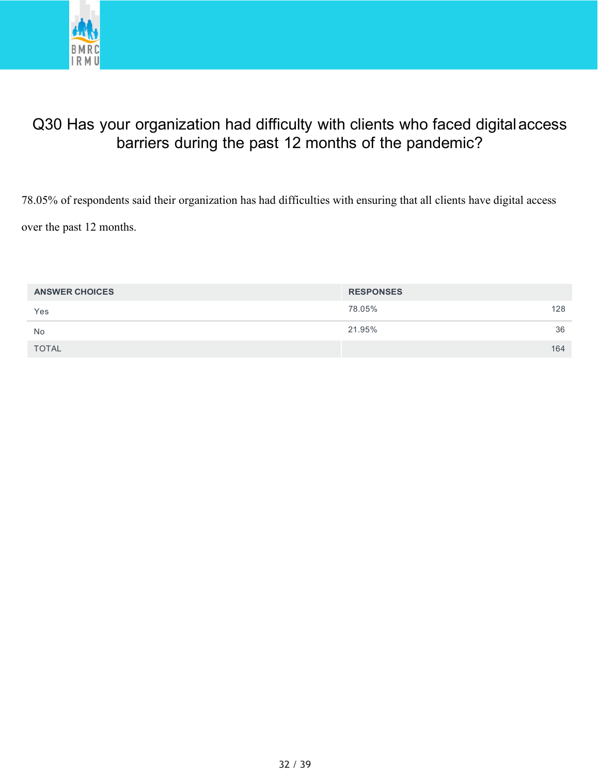

# Q30 Has your organization had difficulty with clients who faced digital access barriers during the past 12 months of the pandemic?

78.05% of respondents said their organization has had difficulties with ensuring that all clients have digital access over the past 12 months.

| <b>ANSWER CHOICES</b> | <b>RESPONSES</b> |
|-----------------------|------------------|
| Yes                   | 78.05%<br>128    |
| <b>No</b>             | 21.95%<br>36     |
| <b>TOTAL</b>          | 164              |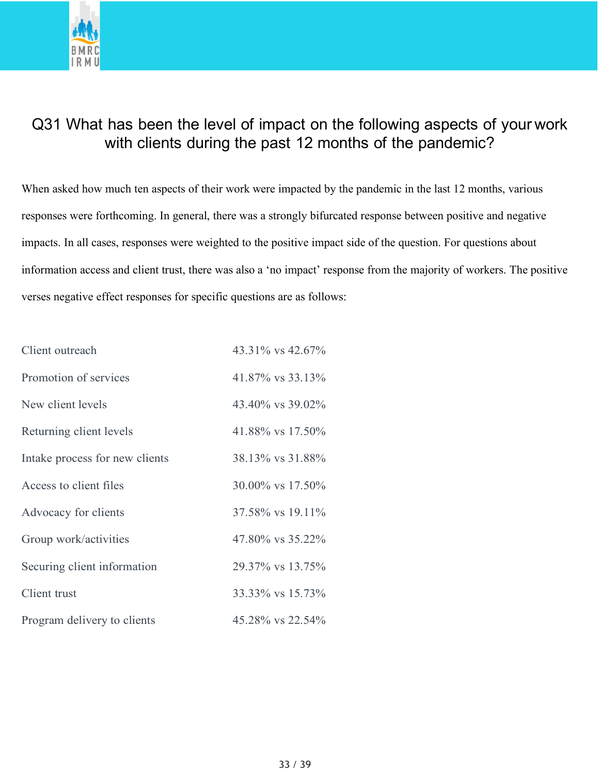

# Q31 What has been the level of impact on the following aspects of your work with clients during the past 12 months of the pandemic?

When asked how much ten aspects of their work were impacted by the pandemic in the last 12 months, various responses were forthcoming. In general, there was a strongly bifurcated response between positive and negative impacts. In all cases, responses were weighted to the positive impact side of the question. For questions about information access and client trust, there was also a 'no impact' response from the majority of workers. The positive verses negative effect responses for specific questions are as follows:

| Client outreach                | 43.31% vs 42.67% |
|--------------------------------|------------------|
| Promotion of services          | 41.87% vs 33.13% |
| New client levels              | 43.40% vs 39.02% |
| Returning client levels        | 41.88% vs 17.50% |
| Intake process for new clients | 38.13% vs 31.88% |
| Access to client files         | 30.00% vs 17.50% |
| Advocacy for clients           | 37.58% vs 19.11% |
| Group work/activities          | 47.80% vs 35.22% |
| Securing client information    | 29.37% vs 13.75% |
| Client trust                   | 33.33% vs 15.73% |
| Program delivery to clients    | 45.28% vs 22.54% |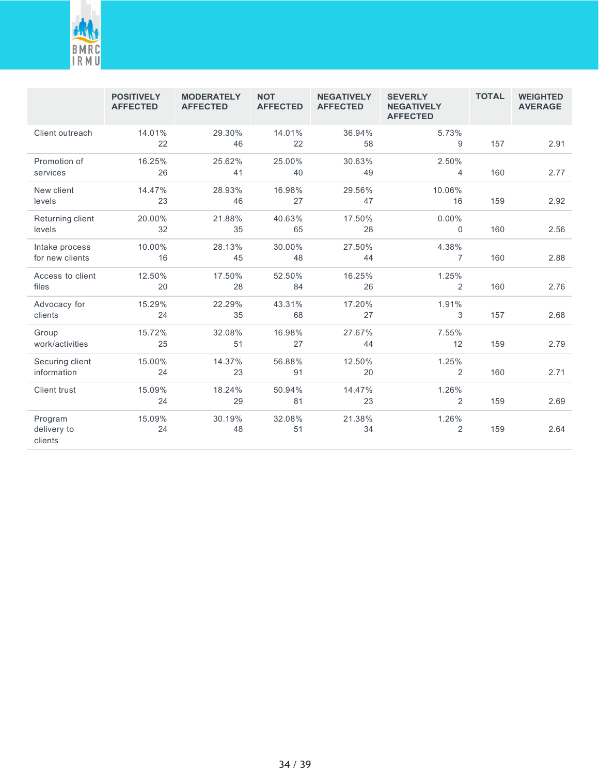

|                                   | <b>POSITIVELY</b><br><b>AFFECTED</b> | <b>MODERATELY</b><br><b>AFFECTED</b> | <b>NOT</b><br><b>AFFECTED</b> | <b>NEGATIVELY</b><br><b>AFFECTED</b> | <b>SEVERLY</b><br><b>NEGATIVELY</b><br><b>AFFECTED</b> | <b>TOTAL</b> | <b>WEIGHTED</b><br><b>AVERAGE</b> |
|-----------------------------------|--------------------------------------|--------------------------------------|-------------------------------|--------------------------------------|--------------------------------------------------------|--------------|-----------------------------------|
| Client outreach                   | 14.01%<br>22                         | 29.30%<br>46                         | 14.01%<br>22                  | 36.94%<br>58                         | 5.73%<br>9                                             | 157          | 2.91                              |
| Promotion of<br>services          | 16.25%<br>26                         | 25.62%<br>41                         | 25.00%<br>40                  | 30.63%<br>49                         | 2.50%<br>4                                             | 160          | 2.77                              |
| New client<br>levels              | 14.47%<br>23                         | 28.93%<br>46                         | 16.98%<br>27                  | 29.56%<br>47                         | 10.06%<br>16                                           | 159          | 2.92                              |
| Returning client<br>levels        | 20.00%<br>32                         | 21.88%<br>35                         | 40.63%<br>65                  | 17.50%<br>28                         | 0.00%<br>$\mathbf 0$                                   | 160          | 2.56                              |
| Intake process<br>for new clients | 10.00%<br>16                         | 28.13%<br>45                         | 30.00%<br>48                  | 27.50%<br>44                         | 4.38%<br>$\overline{7}$                                | 160          | 2.88                              |
| Access to client<br>files         | 12.50%<br>20                         | 17.50%<br>28                         | 52.50%<br>84                  | 16.25%<br>26                         | 1.25%<br>2                                             | 160          | 2.76                              |
| Advocacy for<br>clients           | 15.29%<br>24                         | 22.29%<br>35                         | 43.31%<br>68                  | 17.20%<br>27                         | 1.91%<br>3                                             | 157          | 2.68                              |
| Group<br>work/activities          | 15.72%<br>25                         | 32.08%<br>51                         | 16.98%<br>27                  | 27.67%<br>44                         | 7.55%<br>12                                            | 159          | 2.79                              |
| Securing client<br>information    | 15.00%<br>24                         | 14.37%<br>23                         | 56.88%<br>91                  | 12.50%<br>20                         | 1.25%<br>2                                             | 160          | 2.71                              |
| Client trust                      | 15.09%<br>24                         | 18.24%<br>29                         | 50.94%<br>81                  | 14.47%<br>23                         | 1.26%<br>$\overline{2}$                                | 159          | 2.69                              |
| Program<br>delivery to<br>clients | 15.09%<br>24                         | 30.19%<br>48                         | 32.08%<br>51                  | 21.38%<br>34                         | 1.26%<br>$\overline{2}$                                | 159          | 2.64                              |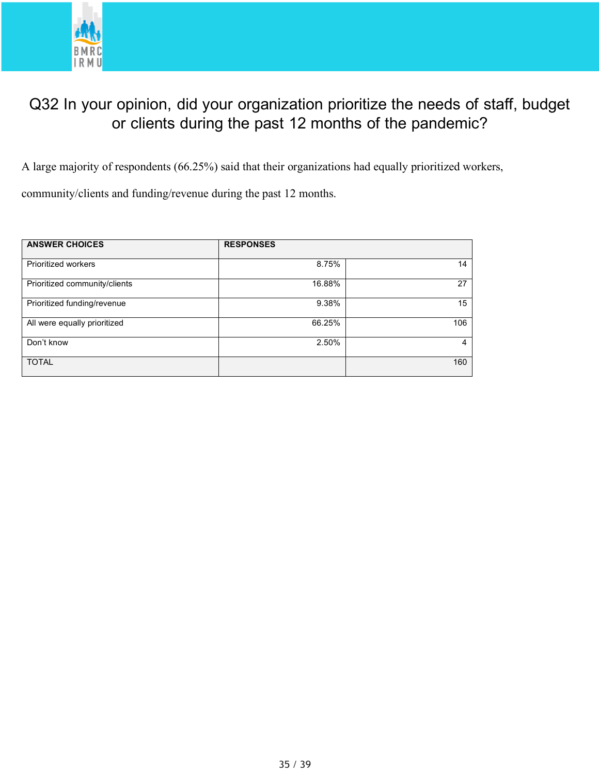

## Q32 In your opinion, did your organization prioritize the needs of staff, budget or clients during the past 12 months of the pandemic?

A large majority of respondents (66.25%) said that their organizations had equally prioritized workers,

community/clients and funding/revenue during the past 12 months.

| <b>ANSWER CHOICES</b>         | <b>RESPONSES</b> |     |
|-------------------------------|------------------|-----|
| Prioritized workers           | 8.75%            | 14  |
| Prioritized community/clients | 16.88%           | 27  |
| Prioritized funding/revenue   | 9.38%            | 15  |
| All were equally prioritized  | 66.25%           | 106 |
| Don't know                    | 2.50%            | 4   |
| <b>TOTAL</b>                  |                  | 160 |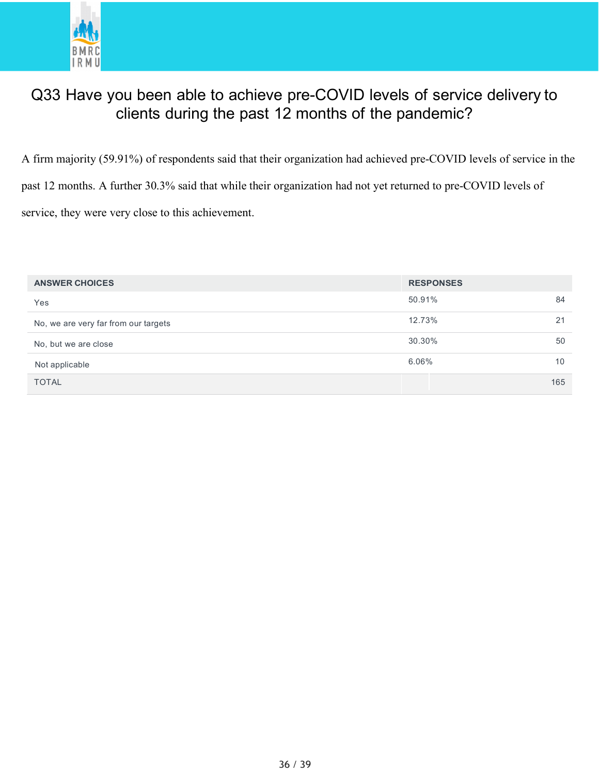

# Q33 Have you been able to achieve pre-COVID levels of service delivery to clients during the past 12 months of the pandemic?

A firm majority (59.91%) of respondents said that their organization had achieved pre-COVID levels of service in the past 12 months. A further 30.3% said that while their organization had not yet returned to pre-COVID levels of service, they were very close to this achievement.

| <b>ANSWER CHOICES</b>                | <b>RESPONSES</b> |     |
|--------------------------------------|------------------|-----|
| Yes                                  | 50.91%           | 84  |
| No, we are very far from our targets | 12.73%           | 21  |
| No, but we are close                 | 30.30%           | 50  |
| Not applicable                       | $6.06\%$         | 10  |
| <b>TOTAL</b>                         |                  | 165 |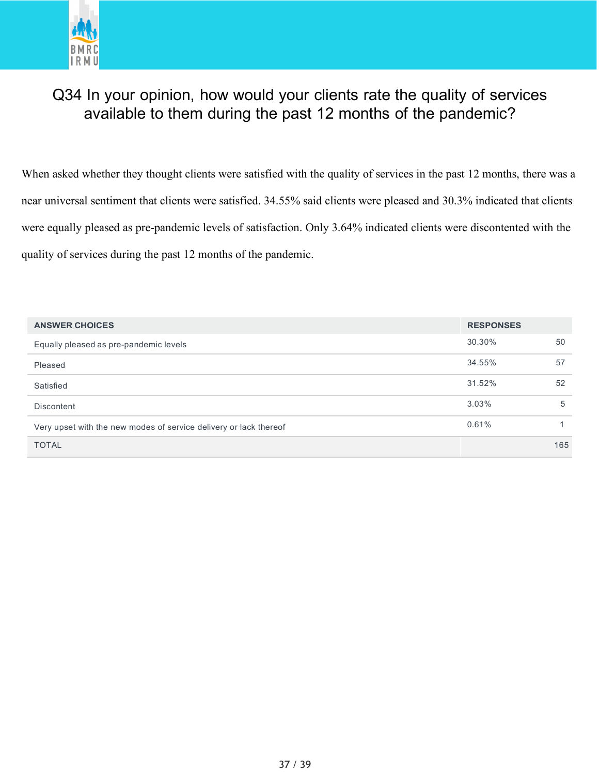

# Q34 In your opinion, how would your clients rate the quality of services available to them during the past 12 months of the pandemic?

When asked whether they thought clients were satisfied with the quality of services in the past 12 months, there was a near universal sentiment that clients were satisfied. 34.55% said clients were pleased and 30.3% indicated that clients were equally pleased as pre-pandemic levels of satisfaction. Only 3.64% indicated clients were discontented with the quality of services during the past 12 months of the pandemic.

| <b>ANSWER CHOICES</b>                                             | <b>RESPONSES</b> |     |
|-------------------------------------------------------------------|------------------|-----|
| Equally pleased as pre-pandemic levels                            | 30.30%           | 50  |
| Pleased                                                           | 34.55%           | 57  |
| Satisfied                                                         | 31.52%           | 52  |
| <b>Discontent</b>                                                 | $3.03\%$         | 5   |
| Very upset with the new modes of service delivery or lack thereof | 0.61%            |     |
| <b>TOTAL</b>                                                      |                  | 165 |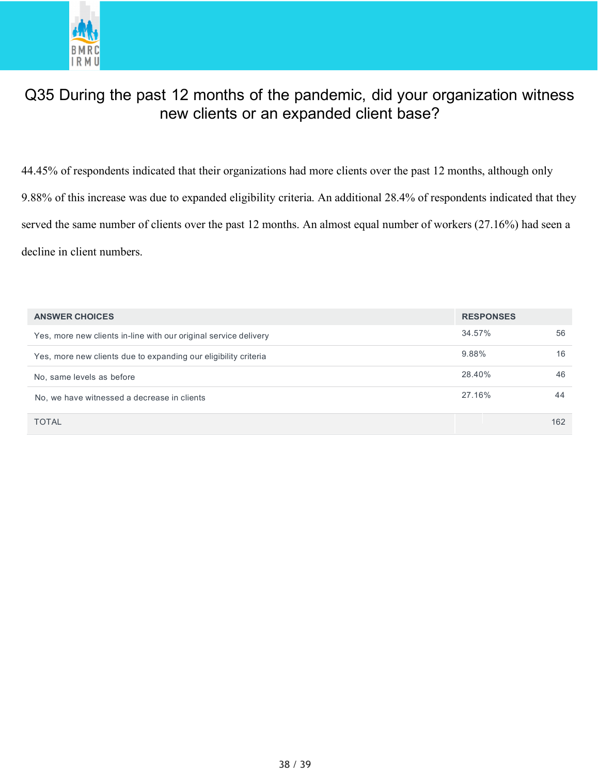

# Q35 During the past 12 months of the pandemic, did your organization witness new clients or an expanded client base?

44.45% of respondents indicated that their organizations had more clients over the past 12 months, although only 9.88% of this increase was due to expanded eligibility criteria. An additional 28.4% of respondents indicated that they served the same number of clients over the past 12 months. An almost equal number of workers (27.16%) had seen a decline in client numbers.

| <b>ANSWER CHOICES</b>                                            | <b>RESPONSES</b> |     |
|------------------------------------------------------------------|------------------|-----|
| Yes, more new clients in-line with our original service delivery | 34.57%           | 56  |
| Yes, more new clients due to expanding our eligibility criteria  | 9.88%            | 16  |
| No, same levels as before                                        | 28.40%           | 46  |
| No, we have witnessed a decrease in clients                      | 27.16%           | 44  |
| <b>TOTAL</b>                                                     |                  | 162 |